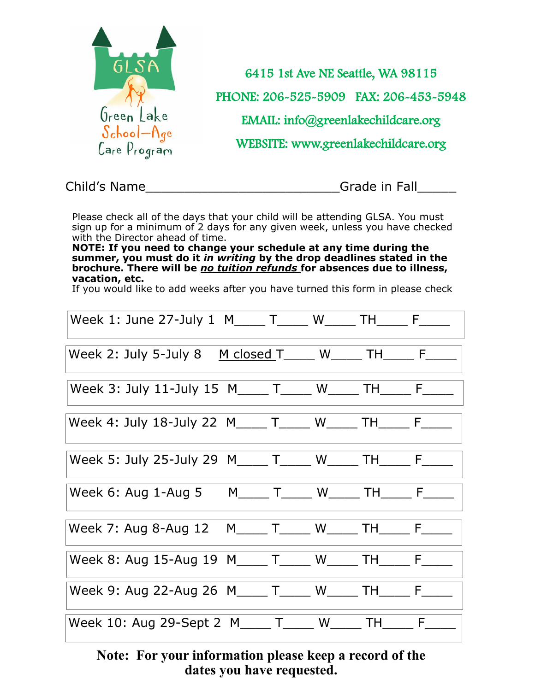

Child's Name **Child's Name** 

Please check all of the days that your child will be attending GLSA. You must sign up for a minimum of 2 days for any given week, unless you have checked with the Director ahead of time.

**NOTE: If you need to change your schedule at any time during the summer, you must do it** *in writing* **by the drop deadlines stated in the brochure. There will be** *no tuition refunds* **for absences due to illness, vacation, etc.** 

If you would like to add weeks after you have turned this form in please check

| Week 1: June 27-July 1 M_____ T_____ W_____ TH_____ F_____ |  |  |  |
|------------------------------------------------------------|--|--|--|
| Week 2: July 5-July 8 M closed T W _ _ TH _ F              |  |  |  |
| Week 3: July 11-July 15 M____ T____ W____ TH____ F____     |  |  |  |
| Week 4: July 18-July 22 M____ T____ W____ TH____ F____     |  |  |  |
| Week 5: July 25-July 29 M____ T____ W____ TH____ F__       |  |  |  |
| Week 6: Aug 1-Aug 5 M_____ T_____ W_____ TH_____ F_____    |  |  |  |
| Week 7: Aug 8-Aug 12 M____ T____ W____ TH____ F____        |  |  |  |
| Week 8: Aug 15-Aug 19 M____ T____ W____ TH____ F__         |  |  |  |
| Week 9: Aug 22-Aug 26 M _ _ T _ _ W _ _ TH _ _ F _ _ _     |  |  |  |
| Week 10: Aug 29-Sept 2 M_____ T____ W_____ TH_____ F_____  |  |  |  |

### **Note: For your information please keep a record of the dates you have requested.**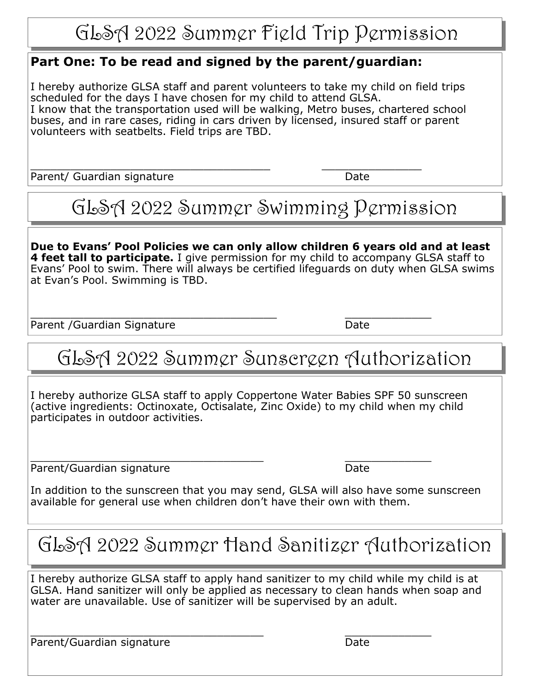## GLSA 2022 Summer Field Trip Permission

### **Part One: To be read and signed by the parent/guardian:**

I hereby authorize GLSA staff and parent volunteers to take my child on field trips scheduled for the days I have chosen for my child to attend GLSA. I know that the transportation used will be walking, Metro buses, chartered school buses, and in rare cases, riding in cars driven by licensed, insured staff or parent volunteers with seatbelts. Field trips are TBD.

\_\_\_\_\_\_\_\_\_\_\_\_\_\_\_\_\_\_\_\_\_\_\_\_\_\_\_\_\_\_\_\_\_\_\_\_ \_\_\_\_\_\_\_\_\_\_\_\_\_\_\_ Parent/ Guardian signature Date

# GLSA 2022 Summer Swimming Permission

**Due to Evans' Pool Policies we can only allow children 6 years old and at least 4 feet tall to participate.** I give permission for my child to accompany GLSA staff to Evans' Pool to swim. There will always be certified lifeguards on duty when GLSA swims at Evan's Pool. Swimming is TBD.

\_\_\_\_\_\_\_\_\_\_\_\_\_\_\_\_\_\_\_\_\_\_\_\_\_\_\_\_\_\_\_\_\_\_\_\_\_ \_\_\_\_\_\_\_\_\_\_\_\_\_ Parent /Guardian Signature Date

## GLSA 2022 Summer Sunscreen Authorization

I hereby authorize GLSA staff to apply Coppertone Water Babies SPF 50 sunscreen (active ingredients: Octinoxate, Octisalate, Zinc Oxide) to my child when my child participates in outdoor activities.

\_\_\_\_\_\_\_\_\_\_\_\_\_\_\_\_\_\_\_\_\_\_\_\_\_\_\_\_\_\_\_\_\_\_\_ \_\_\_\_\_\_\_\_\_\_\_\_\_ Parent/Guardian signature Date

In addition to the sunscreen that you may send, GLSA will also have some sunscreen available for general use when children don't have their own with them.

## GLSA 2022 Summer Hand Sanitizer Authorization

I hereby authorize GLSA staff to apply hand sanitizer to my child while my child is at GLSA. Hand sanitizer will only be applied as necessary to clean hands when soap and water are unavailable. Use of sanitizer will be supervised by an adult.

\_\_\_\_\_\_\_\_\_\_\_\_\_\_\_\_\_\_\_\_\_\_\_\_\_\_\_\_\_\_\_\_\_\_\_ \_\_\_\_\_\_\_\_\_\_\_\_\_ Parent/Guardian signature Date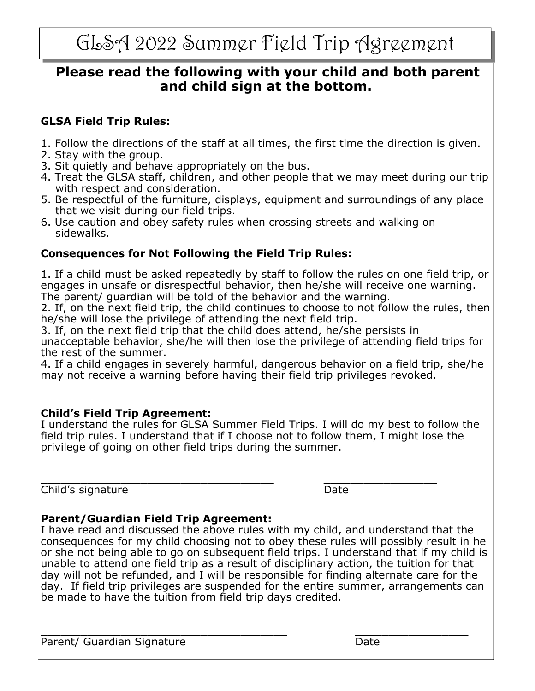## **Please read the following with your child and both parent and child sign at the bottom.**

### **GLSA Field Trip Rules:**

- 1. Follow the directions of the staff at all times, the first time the direction is given.
- 2. Stay with the group.
- 3. Sit quietly and behave appropriately on the bus.
- 4. Treat the GLSA staff, children, and other people that we may meet during our trip with respect and consideration.
- 5. Be respectful of the furniture, displays, equipment and surroundings of any place that we visit during our field trips.
- 6. Use caution and obey safety rules when crossing streets and walking on sidewalks.

### **Consequences for Not Following the Field Trip Rules:**

1. If a child must be asked repeatedly by staff to follow the rules on one field trip, or engages in unsafe or disrespectful behavior, then he/she will receive one warning. The parent/ guardian will be told of the behavior and the warning.

2. If, on the next field trip, the child continues to choose to not follow the rules, then he/she will lose the privilege of attending the next field trip.

3. If, on the next field trip that the child does attend, he/she persists in unacceptable behavior, she/he will then lose the privilege of attending field trips for the rest of the summer.

4. If a child engages in severely harmful, dangerous behavior on a field trip, she/he may not receive a warning before having their field trip privileges revoked.

#### **Child's Field Trip Agreement:**

I understand the rules for GLSA Summer Field Trips. I will do my best to follow the field trip rules. I understand that if I choose not to follow them, I might lose the privilege of going on other field trips during the summer.

\_\_\_\_\_\_\_\_\_\_\_\_\_\_\_\_\_\_\_\_\_\_\_\_\_\_\_\_\_\_\_\_\_\_\_ \_\_\_\_\_\_\_\_\_\_\_\_\_\_\_\_\_ **Child's signature** Date

### **Parent/Guardian Field Trip Agreement:**

I have read and discussed the above rules with my child, and understand that the consequences for my child choosing not to obey these rules will possibly result in he or she not being able to go on subsequent field trips. I understand that if my child is unable to attend one field trip as a result of disciplinary action, the tuition for that day will not be refunded, and I will be responsible for finding alternate care for the day. If field trip privileges are suspended for the entire summer, arrangements can be made to have the tuition from field trip days credited.

\_\_\_\_\_\_\_\_\_\_\_\_\_\_\_\_\_\_\_\_\_\_\_\_\_\_\_\_\_\_\_\_\_\_\_\_\_ \_\_\_\_\_\_\_\_\_\_\_\_\_\_\_\_\_ Parent/ Guardian Signature Date